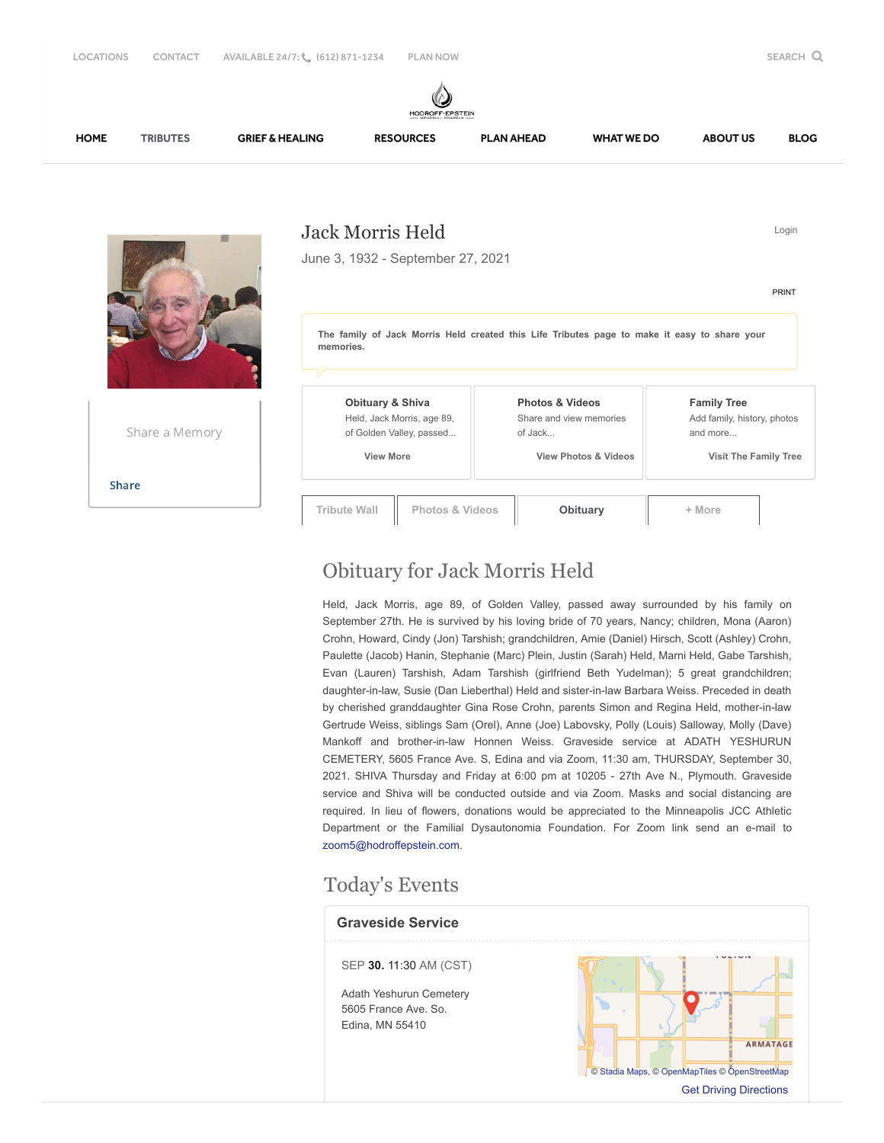#### **IODROFF-EPSTEIN** [HOME](https://www.hodroffepsteinmemorialchapels.com/) [TRIBUTES](https://www.hodroffepsteinmemorialchapels.com/obituaries) [GRIEF & HEALING](https://www.hodroffepsteinmemorialchapels.com/grief-and-healing/) [RESOURCES](https://www.hodroffepsteinmemorialchapels.com/resources/) [PLAN AHEAD](https://www.hodroffepsteinmemorialchapels.com/plan-ahead/) [WHAT WE DO](https://www.hodroffepsteinmemorialchapels.com/what-we-do/) [ABOUT US](https://www.hodroffepsteinmemorialchapels.com/who-we-are/) [BLOG](https://www.hodroffepsteinmemorialchapels.com/blog/) Jack Morris Held Login June 3, 1932 - September 27, 2021 [PRINT](https://www.hodroffepsteinmemorialchapels.com/obituaries/Jack-Held-2/Print/Wall) **The family of Jack Morris Held created this Life Tributes page to make it easy to share your memories. Obituary & Shiva Photos & Videos Family Tree** Held, Jack Morris, age 89, Share and view memories Add family, history, photos Share a Memory of Golden Valley, passed... of Jack... and more...  **View More View Photos & Videos Visit The Family Tree** [Share](javascript:void(0);) **Tribute Wall Photos & Videos Cobituary + More**

# Obituary for Jack Morris Held

Held, Jack Morris, age 89, of Golden Valley, passed away surrounded by his family on September 27th. He is survived by his loving bride of 70 years, Nancy; children, Mona (Aaron) Crohn, Howard, Cindy (Jon) Tarshish; grandchildren, Amie (Daniel) Hirsch, Scott (Ashley) Crohn, Paulette (Jacob) Hanin, Stephanie (Marc) Plein, Justin (Sarah) Held, Marni Held, Gabe Tarshish, Evan (Lauren) Tarshish, Adam Tarshish (girlfriend Beth Yudelman); 5 great grandchildren; daughter-in-law, Susie (Dan Lieberthal) Held and sister-in-law Barbara Weiss. Preceded in death by cherished granddaughter Gina Rose Crohn, parents Simon and Regina Held, mother-in-law Gertrude Weiss, siblings Sam (Orel), Anne (Joe) Labovsky, Polly (Louis) Salloway, Molly (Dave) Mankoff and brother-in-law Honnen Weiss. Graveside service at ADATH YESHURUN CEMETERY, 5605 France Ave. S, Edina and via Zoom, 11:30 am, THURSDAY, September 30, 2021. SHIVA Thursday and Friday at 6:00 pm at 10205 - 27th Ave N., Plymouth. Graveside service and Shiva will be conducted outside and via Zoom. Masks and social distancing are required. In lieu of flowers, donations would be appreciated to the Minneapolis JCC Athletic Department or the Familial Dysautonomia Foundation. For Zoom link send an e-mail to [zoom5@hodroffepstein.com](mailto:zoom5@hodroffepstein.com).

# Today's Events

### **Graveside Service** SEP **30.** 11:30 AM (CST) Adath Yeshurun Cemetery  $\bullet$ 5605 France Ave. So. Edina, MN 55410 ARMATAGE © [Stadia Maps,](https://stadiamaps.com/) © [OpenMapTiles](https://openmaptiles.org/) © [OpenStreetMap](http://openstreetmap.org/)

[Get Driving Directions](https://www.google.com/maps/dir/?api=1&destination=5605+France+Ave.+So.%2c+Edina%2c+MN+55410%2c+US)